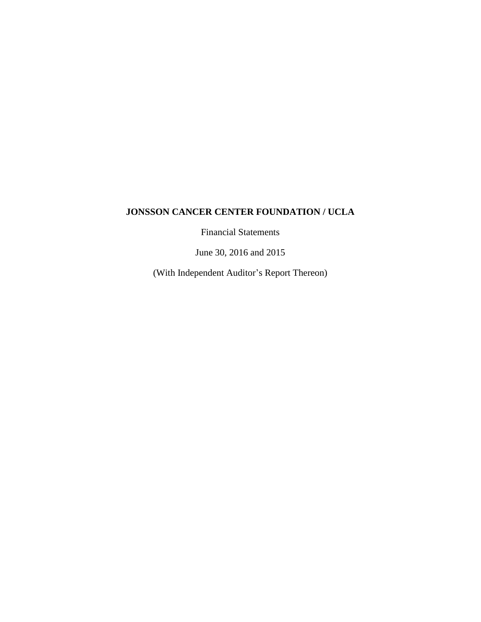Financial Statements

June 30, 2016 and 2015

(With Independent Auditor's Report Thereon)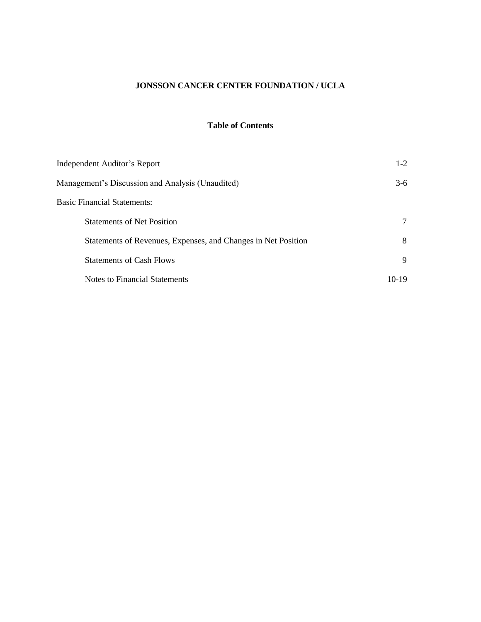# **Table of Contents**

| <b>Independent Auditor's Report</b>                           | $1-2$   |
|---------------------------------------------------------------|---------|
| Management's Discussion and Analysis (Unaudited)              | $3-6$   |
| <b>Basic Financial Statements:</b>                            |         |
| <b>Statements of Net Position</b>                             | 7       |
| Statements of Revenues, Expenses, and Changes in Net Position | 8       |
| <b>Statements of Cash Flows</b>                               | 9       |
| Notes to Financial Statements                                 | $10-19$ |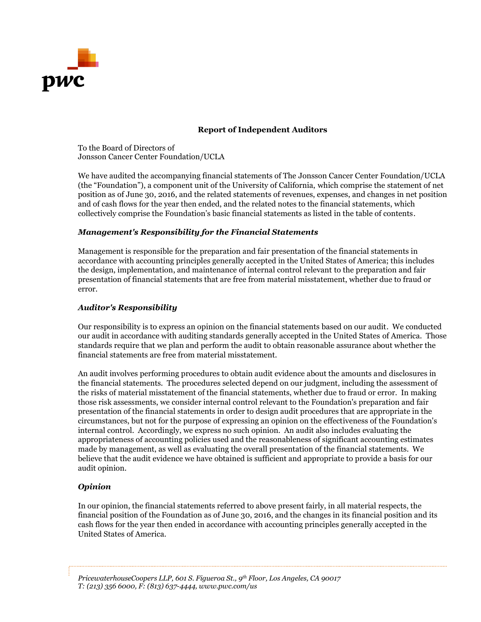

# **Report of Independent Auditors**

To the Board of Directors of Jonsson Cancer Center Foundation/UCLA

We have audited the accompanying financial statements of The Jonsson Cancer Center Foundation/UCLA (the "Foundation"), a component unit of the University of California, which comprise the statement of net position as of June 30, 2016, and the related statements of revenues, expenses, and changes in net position and of cash flows for the year then ended, and the related notes to the financial statements, which collectively comprise the Foundation's basic financial statements as listed in the table of contents.

# *Management's Responsibility for the Financial Statements*

Management is responsible for the preparation and fair presentation of the financial statements in accordance with accounting principles generally accepted in the United States of America; this includes the design, implementation, and maintenance of internal control relevant to the preparation and fair presentation of financial statements that are free from material misstatement, whether due to fraud or error.

# *Auditor's Responsibility*

Our responsibility is to express an opinion on the financial statements based on our audit. We conducted our audit in accordance with auditing standards generally accepted in the United States of America. Those standards require that we plan and perform the audit to obtain reasonable assurance about whether the financial statements are free from material misstatement.

An audit involves performing procedures to obtain audit evidence about the amounts and disclosures in the financial statements. The procedures selected depend on our judgment, including the assessment of the risks of material misstatement of the financial statements, whether due to fraud or error. In making those risk assessments, we consider internal control relevant to the Foundation's preparation and fair presentation of the financial statements in order to design audit procedures that are appropriate in the circumstances, but not for the purpose of expressing an opinion on the effectiveness of the Foundation's internal control. Accordingly, we express no such opinion. An audit also includes evaluating the appropriateness of accounting policies used and the reasonableness of significant accounting estimates made by management, as well as evaluating the overall presentation of the financial statements. We believe that the audit evidence we have obtained is sufficient and appropriate to provide a basis for our audit opinion.

# *Opinion*

In our opinion, the financial statements referred to above present fairly, in all material respects, the financial position of the Foundation as of June 30, 2016, and the changes in its financial position and its cash flows for the year then ended in accordance with accounting principles generally accepted in the United States of America.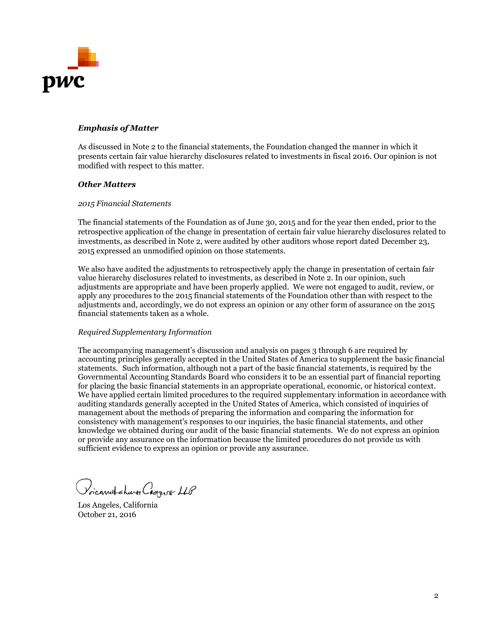

# *Emphasis of Matter*

As discussed in Note 2 to the financial statements, the Foundation changed the manner in which it presents certain fair value hierarchy disclosures related to investments in fiscal 2016. Our opinion is not modified with respect to this matter.

#### *Other Matters*

#### *2015 Financial Statements*

The financial statements of the Foundation as of June 30, 2015 and for the year then ended, prior to the retrospective application of the change in presentation of certain fair value hierarchy disclosures related to investments, as described in Note 2, were audited by other auditors whose report dated December 23, 2015 expressed an unmodified opinion on those statements.

We also have audited the adjustments to retrospectively apply the change in presentation of certain fair value hierarchy disclosures related to investments, as described in Note 2. In our opinion, such adjustments are appropriate and have been properly applied. We were not engaged to audit, review, or apply any procedures to the 2015 financial statements of the Foundation other than with respect to the adjustments and, accordingly, we do not express an opinion or any other form of assurance on the 2015 financial statements taken as a whole.

## *Required Supplementary Information*

The accompanying management's discussion and analysis on pages 3 through 6 are required by accounting principles generally accepted in the United States of America to supplement the basic financial statements. Such information, although not a part of the basic financial statements, is required by the Governmental Accounting Standards Board who considers it to be an essential part of financial reporting for placing the basic financial statements in an appropriate operational, economic, or historical context. We have applied certain limited procedures to the required supplementary information in accordance with auditing standards generally accepted in the United States of America, which consisted of inquiries of management about the methods of preparing the information and comparing the information for consistency with management's responses to our inquiries, the basic financial statements, and other knowledge we obtained during our audit of the basic financial statements. We do not express an opinion or provide any assurance on the information because the limited procedures do not provide us with sufficient evidence to express an opinion or provide any assurance.

Pricarred church Cappis LLP

Los Angeles, California October 21, 2016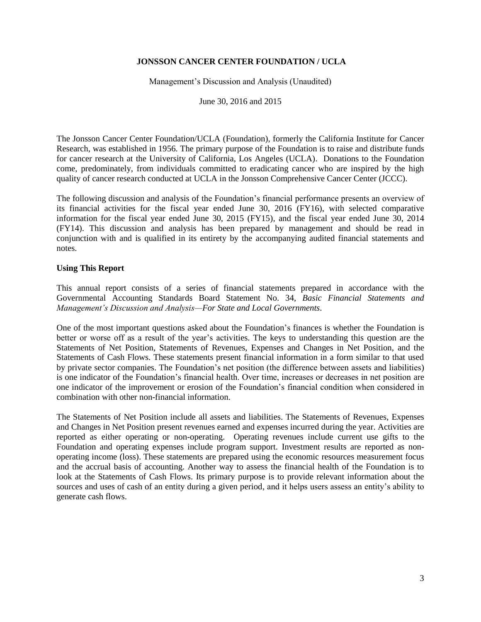Management's Discussion and Analysis (Unaudited)

June 30, 2016 and 2015

The Jonsson Cancer Center Foundation/UCLA (Foundation), formerly the California Institute for Cancer Research, was established in 1956. The primary purpose of the Foundation is to raise and distribute funds for cancer research at the University of California, Los Angeles (UCLA). Donations to the Foundation come, predominately, from individuals committed to eradicating cancer who are inspired by the high quality of cancer research conducted at UCLA in the Jonsson Comprehensive Cancer Center (JCCC).

The following discussion and analysis of the Foundation's financial performance presents an overview of its financial activities for the fiscal year ended June 30, 2016 (FY16), with selected comparative information for the fiscal year ended June 30, 2015 (FY15), and the fiscal year ended June 30, 2014 (FY14). This discussion and analysis has been prepared by management and should be read in conjunction with and is qualified in its entirety by the accompanying audited financial statements and notes.

# **Using This Report**

This annual report consists of a series of financial statements prepared in accordance with the Governmental Accounting Standards Board Statement No. 34, *Basic Financial Statements and Management's Discussion and Analysis—For State and Local Governments*.

One of the most important questions asked about the Foundation's finances is whether the Foundation is better or worse off as a result of the year's activities. The keys to understanding this question are the Statements of Net Position, Statements of Revenues, Expenses and Changes in Net Position, and the Statements of Cash Flows. These statements present financial information in a form similar to that used by private sector companies. The Foundation's net position (the difference between assets and liabilities) is one indicator of the Foundation's financial health. Over time, increases or decreases in net position are one indicator of the improvement or erosion of the Foundation's financial condition when considered in combination with other non-financial information.

The Statements of Net Position include all assets and liabilities. The Statements of Revenues, Expenses and Changes in Net Position present revenues earned and expenses incurred during the year. Activities are reported as either operating or non-operating. Operating revenues include current use gifts to the Foundation and operating expenses include program support. Investment results are reported as nonoperating income (loss). These statements are prepared using the economic resources measurement focus and the accrual basis of accounting. Another way to assess the financial health of the Foundation is to look at the Statements of Cash Flows. Its primary purpose is to provide relevant information about the sources and uses of cash of an entity during a given period, and it helps users assess an entity's ability to generate cash flows.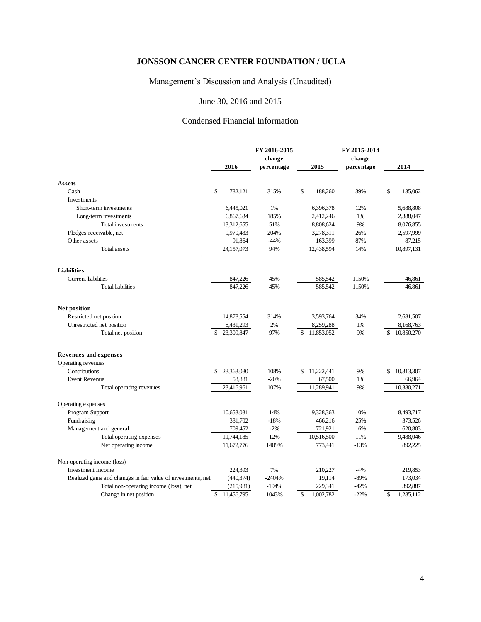# Management's Discussion and Analysis (Unaudited)

# June 30, 2016 and 2015

# Condensed Financial Information

|                                                              |                  | FY 2016-2015<br>change |                           | FY 2015-2014<br>change |                  |
|--------------------------------------------------------------|------------------|------------------------|---------------------------|------------------------|------------------|
|                                                              | 2016             | percentage             | 2015                      | percentage             | 2014             |
| Assets                                                       |                  |                        |                           |                        |                  |
| Cash                                                         | \$<br>782,121    | 315%                   | \$<br>188,260             | 39%                    | \$<br>135,062    |
| Investments                                                  |                  |                        |                           |                        |                  |
| Short-term investments                                       | 6,445,021        | 1%                     | 6,396,378                 | 12%                    | 5,688,808        |
| Long-term investments                                        | 6,867,634        | 185%                   | 2,412,246                 | 1%                     | 2,388,047        |
| Total investments                                            | 13,312,655       | 51%                    | 8,808,624                 | 9%                     | 8,076,855        |
| Pledges receivable, net                                      | 9.970,433        | 204%                   | 3,278,311                 | 26%                    | 2,597,999        |
| Other assets                                                 | 91,864           | $-44%$                 | 163,399                   | 87%                    | 87,215           |
| Total assets                                                 | 24,157,073       | 94%                    | 12,438,594                | 14%                    | 10,897,131       |
|                                                              |                  |                        |                           |                        |                  |
| <b>Liabilities</b>                                           |                  |                        |                           |                        |                  |
| <b>Current liabilities</b>                                   | 847,226          | 45%                    | 585,542                   | 1150%                  | 46,861           |
| <b>Total liabilities</b>                                     | 847,226          | 45%                    | 585,542                   | 1150%                  | 46,861           |
| Net position                                                 |                  |                        |                           |                        |                  |
|                                                              |                  |                        |                           |                        |                  |
| Restricted net position                                      | 14,878,554       | 314%                   | 3,593,764                 | 34%                    | 2,681,507        |
| Unrestricted net position                                    | 8,431,293<br>\$. | 2%<br>97%              | 8,259,288<br>$\mathbb{S}$ | 1%<br>9%               | 8,168,763<br>\$  |
| Total net position                                           | 23,309,847       |                        | 11,853,052                |                        | 10,850,270       |
| Revenues and expenses                                        |                  |                        |                           |                        |                  |
| Operating revenues                                           |                  |                        |                           |                        |                  |
| Contributions                                                | \$<br>23,363,080 | 108%                   | 11,222,441<br>\$          | 9%                     | 10,313,307<br>\$ |
| <b>Event Revenue</b>                                         | 53,881           | $-20%$                 | 67,500                    | 1%                     | 66,964           |
| Total operating revenues                                     | 23,416,961       | 107%                   | 11,289,941                | 9%                     | 10,380,271       |
| Operating expenses                                           |                  |                        |                           |                        |                  |
| Program Support                                              | 10,653,031       | 14%                    | 9,328,363                 | 10%                    | 8,493,717        |
| Fundraising                                                  | 381,702          | $-18%$                 | 466,216                   | 25%                    | 373,526          |
| Management and general                                       | 709,452          | $-2%$                  | 721,921                   | 16%                    | 620,803          |
| Total operating expenses                                     | 11,744,185       | 12%                    | 10,516,500                | 11%                    | 9,488,046        |
| Net operating income                                         | 11,672,776       | 1409%                  | 773,441                   | $-13%$                 | 892,225          |
| Non-operating income (loss)                                  |                  |                        |                           |                        |                  |
| <b>Investment Income</b>                                     | 224,393          | 7%                     | 210,227                   | $-4%$                  | 219,853          |
| Realized gains and changes in fair value of investments, net | (440, 374)       | $-2404%$               | 19,114                    | $-89%$                 | 173,034          |
| Total non-operating income (loss), net                       | (215,981)        | $-194%$                | 229,341                   | $-42%$                 | 392,887          |
| Change in net position                                       | \$<br>11,456,795 | 1043%                  | \$<br>1,002,782           | $-22%$                 | \$<br>1,285,112  |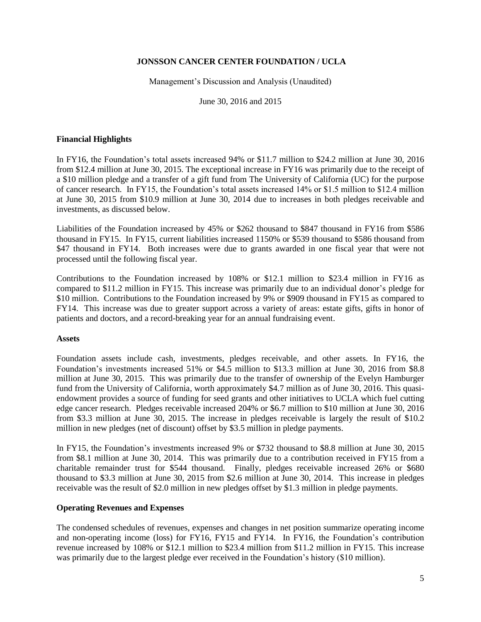Management's Discussion and Analysis (Unaudited)

June 30, 2016 and 2015

# **Financial Highlights**

In FY16, the Foundation's total assets increased 94% or \$11.7 million to \$24.2 million at June 30, 2016 from \$12.4 million at June 30, 2015. The exceptional increase in FY16 was primarily due to the receipt of a \$10 million pledge and a transfer of a gift fund from The University of California (UC) for the purpose of cancer research. In FY15, the Foundation's total assets increased 14% or \$1.5 million to \$12.4 million at June 30, 2015 from \$10.9 million at June 30, 2014 due to increases in both pledges receivable and investments, as discussed below.

Liabilities of the Foundation increased by 45% or \$262 thousand to \$847 thousand in FY16 from \$586 thousand in FY15. In FY15, current liabilities increased 1150% or \$539 thousand to \$586 thousand from \$47 thousand in FY14. Both increases were due to grants awarded in one fiscal year that were not processed until the following fiscal year.

Contributions to the Foundation increased by 108% or \$12.1 million to \$23.4 million in FY16 as compared to \$11.2 million in FY15. This increase was primarily due to an individual donor's pledge for \$10 million. Contributions to the Foundation increased by 9% or \$909 thousand in FY15 as compared to FY14. This increase was due to greater support across a variety of areas: estate gifts, gifts in honor of patients and doctors, and a record-breaking year for an annual fundraising event.

## **Assets**

Foundation assets include cash, investments, pledges receivable, and other assets. In FY16, the Foundation's investments increased 51% or \$4.5 million to \$13.3 million at June 30, 2016 from \$8.8 million at June 30, 2015. This was primarily due to the transfer of ownership of the Evelyn Hamburger fund from the University of California, worth approximately \$4.7 million as of June 30, 2016. This quasiendowment provides a source of funding for seed grants and other initiatives to UCLA which fuel cutting edge cancer research. Pledges receivable increased 204% or \$6.7 million to \$10 million at June 30, 2016 from \$3.3 million at June 30, 2015. The increase in pledges receivable is largely the result of \$10.2 million in new pledges (net of discount) offset by \$3.5 million in pledge payments.

In FY15, the Foundation's investments increased 9% or \$732 thousand to \$8.8 million at June 30, 2015 from \$8.1 million at June 30, 2014. This was primarily due to a contribution received in FY15 from a charitable remainder trust for \$544 thousand. Finally, pledges receivable increased 26% or \$680 thousand to \$3.3 million at June 30, 2015 from \$2.6 million at June 30, 2014. This increase in pledges receivable was the result of \$2.0 million in new pledges offset by \$1.3 million in pledge payments.

# **Operating Revenues and Expenses**

The condensed schedules of revenues, expenses and changes in net position summarize operating income and non-operating income (loss) for FY16, FY15 and FY14. In FY16, the Foundation's contribution revenue increased by 108% or \$12.1 million to \$23.4 million from \$11.2 million in FY15. This increase was primarily due to the largest pledge ever received in the Foundation's history (\$10 million).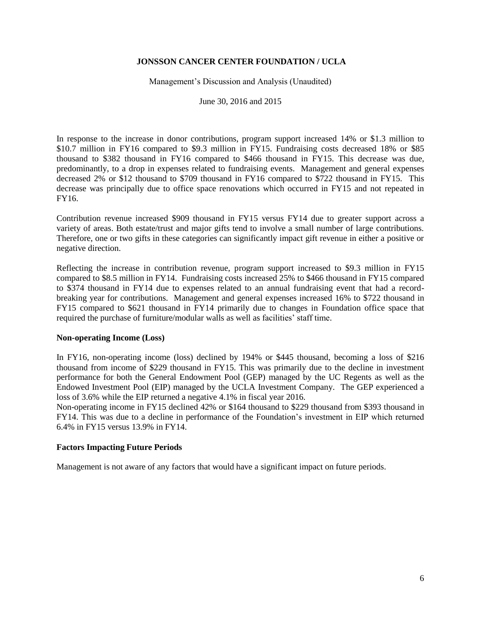### Management's Discussion and Analysis (Unaudited)

June 30, 2016 and 2015

In response to the increase in donor contributions, program support increased 14% or \$1.3 million to \$10.7 million in FY16 compared to \$9.3 million in FY15. Fundraising costs decreased 18% or \$85 thousand to \$382 thousand in FY16 compared to \$466 thousand in FY15. This decrease was due, predominantly, to a drop in expenses related to fundraising events. Management and general expenses decreased 2% or \$12 thousand to \$709 thousand in FY16 compared to \$722 thousand in FY15. This decrease was principally due to office space renovations which occurred in FY15 and not repeated in FY16.

Contribution revenue increased \$909 thousand in FY15 versus FY14 due to greater support across a variety of areas. Both estate/trust and major gifts tend to involve a small number of large contributions. Therefore, one or two gifts in these categories can significantly impact gift revenue in either a positive or negative direction.

Reflecting the increase in contribution revenue, program support increased to \$9.3 million in FY15 compared to \$8.5 million in FY14. Fundraising costs increased 25% to \$466 thousand in FY15 compared to \$374 thousand in FY14 due to expenses related to an annual fundraising event that had a recordbreaking year for contributions. Management and general expenses increased 16% to \$722 thousand in FY15 compared to \$621 thousand in FY14 primarily due to changes in Foundation office space that required the purchase of furniture/modular walls as well as facilities' staff time.

## **Non-operating Income (Loss)**

In FY16, non-operating income (loss) declined by 194% or \$445 thousand, becoming a loss of \$216 thousand from income of \$229 thousand in FY15. This was primarily due to the decline in investment performance for both the General Endowment Pool (GEP) managed by the UC Regents as well as the Endowed Investment Pool (EIP) managed by the UCLA Investment Company. The GEP experienced a loss of 3.6% while the EIP returned a negative 4.1% in fiscal year 2016.

Non-operating income in FY15 declined 42% or \$164 thousand to \$229 thousand from \$393 thousand in FY14. This was due to a decline in performance of the Foundation's investment in EIP which returned 6.4% in FY15 versus 13.9% in FY14.

## **Factors Impacting Future Periods**

Management is not aware of any factors that would have a significant impact on future periods.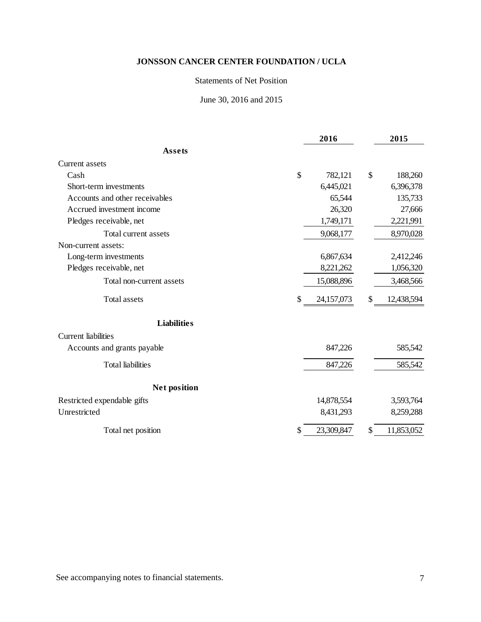# Statements of Net Position

# June 30, 2016 and 2015

|                                | 2016       | 2015             |
|--------------------------------|------------|------------------|
| <b>Assets</b>                  |            |                  |
| <b>Current assets</b>          |            |                  |
| \$<br>Cash                     | 782,121    | \$<br>188,260    |
| Short-term investments         | 6,445,021  | 6,396,378        |
| Accounts and other receivables | 65,544     | 135,733          |
| Accrued investment income      | 26,320     | 27,666           |
| Pledges receivable, net        | 1,749,171  | 2,221,991        |
| Total current assets           | 9,068,177  | 8,970,028        |
| Non-current assets:            |            |                  |
| Long-term investments          | 6,867,634  | 2,412,246        |
| Pledges receivable, net        | 8,221,262  | 1,056,320        |
| Total non-current assets       | 15,088,896 | 3,468,566        |
| <b>Total assets</b><br>\$      | 24,157,073 | \$<br>12,438,594 |
| <b>Liabilities</b>             |            |                  |
| <b>Current liabilities</b>     |            |                  |
| Accounts and grants payable    | 847,226    | 585,542          |
| <b>Total liabilities</b>       | 847,226    | 585,542          |
| <b>Net position</b>            |            |                  |
| Restricted expendable gifts    | 14,878,554 | 3,593,764        |
| Unrestricted                   | 8,431,293  | 8,259,288        |
| Total net position             | 23,309,847 | \$<br>11,853,052 |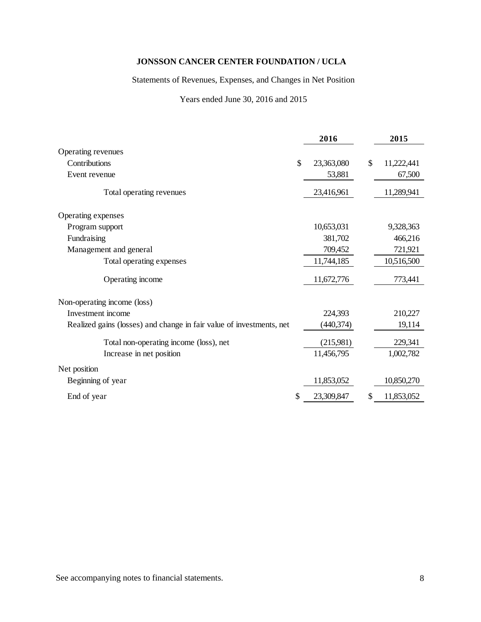Statements of Revenues, Expenses, and Changes in Net Position

Years ended June 30, 2016 and 2015

|                                                                      |    | 2016       |               | 2015       |
|----------------------------------------------------------------------|----|------------|---------------|------------|
| Operating revenues                                                   |    |            |               |            |
| Contributions                                                        | \$ | 23,363,080 | $\mathcal{S}$ | 11,222,441 |
| Event revenue                                                        |    | 53,881     |               | 67,500     |
| Total operating revenues                                             |    | 23,416,961 |               | 11,289,941 |
| Operating expenses                                                   |    |            |               |            |
| Program support                                                      |    | 10,653,031 |               | 9,328,363  |
| Fundraising                                                          |    | 381,702    |               | 466,216    |
| Management and general                                               |    | 709,452    |               | 721,921    |
| Total operating expenses                                             |    | 11,744,185 |               | 10,516,500 |
| Operating income                                                     |    | 11,672,776 |               | 773,441    |
| Non-operating income (loss)                                          |    |            |               |            |
| Investment income                                                    |    | 224,393    |               | 210,227    |
| Realized gains (losses) and change in fair value of investments, net |    | (440, 374) |               | 19,114     |
| Total non-operating income (loss), net                               |    | (215,981)  |               | 229,341    |
| Increase in net position                                             |    | 11,456,795 |               | 1,002,782  |
| Net position                                                         |    |            |               |            |
| Beginning of year                                                    |    | 11,853,052 |               | 10,850,270 |
| End of year                                                          | S  | 23,309,847 | \$            | 11,853,052 |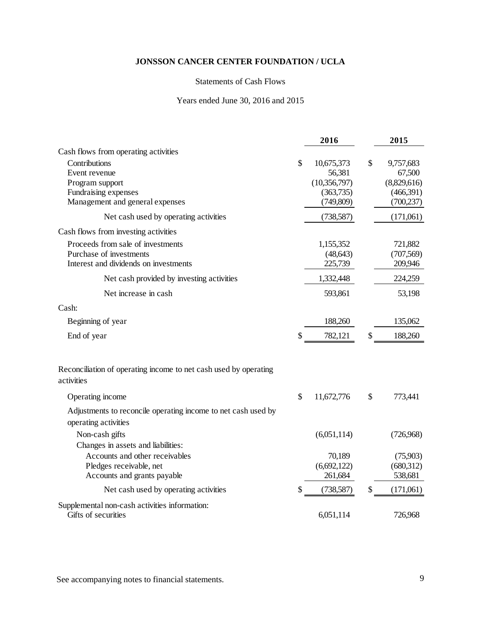# Statements of Cash Flows

# Years ended June 30, 2016 and 2015

|                                                                                       | 2016                    | 2015                    |
|---------------------------------------------------------------------------------------|-------------------------|-------------------------|
| Cash flows from operating activities                                                  |                         |                         |
| Contributions                                                                         | \$<br>10,675,373        | \$<br>9,757,683         |
| Event revenue                                                                         | 56,381                  | 67,500                  |
| Program support                                                                       | (10, 356, 797)          | (8,829,616)             |
| Fundraising expenses<br>Management and general expenses                               | (363,735)<br>(749, 809) | (466,391)<br>(700, 237) |
|                                                                                       |                         |                         |
| Net cash used by operating activities                                                 | (738, 587)              | (171,061)               |
| Cash flows from investing activities                                                  |                         |                         |
| Proceeds from sale of investments                                                     | 1,155,352               | 721,882                 |
| Purchase of investments                                                               | (48, 643)               | (707, 569)              |
| Interest and dividends on investments                                                 | 225,739                 | 209,946                 |
| Net cash provided by investing activities                                             | 1,332,448               | 224,259                 |
| Net increase in cash                                                                  | 593,861                 | 53,198                  |
| Cash:                                                                                 |                         |                         |
| Beginning of year                                                                     | 188,260                 | 135,062                 |
| End of year                                                                           | \$<br>782,121           | \$<br>188,260           |
| Reconciliation of operating income to net cash used by operating<br>activities        |                         |                         |
| Operating income                                                                      | \$<br>11,672,776        | \$<br>773,441           |
| Adjustments to reconcile operating income to net cash used by<br>operating activities |                         |                         |
| Non-cash gifts                                                                        | (6,051,114)             | (726,968)               |
| Changes in assets and liabilities:<br>Accounts and other receivables                  | 70,189                  | (75,903)                |
| Pledges receivable, net                                                               | (6,692,122)             | (680,312)               |
| Accounts and grants payable                                                           | 261,684                 | 538,681                 |
| Net cash used by operating activities                                                 | \$<br>(738, 587)        | \$<br>(171,061)         |
|                                                                                       |                         |                         |
| Supplemental non-cash activities information:<br>Gifts of securities                  | 6,051,114               | 726,968                 |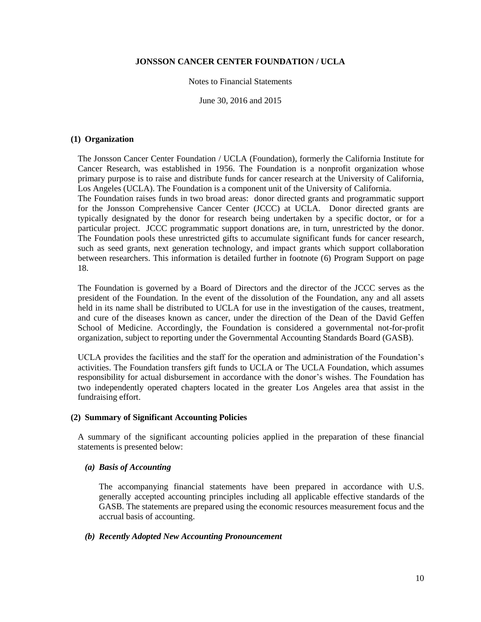#### Notes to Financial Statements

June 30, 2016 and 2015

## **(1) Organization**

The Jonsson Cancer Center Foundation / UCLA (Foundation), formerly the California Institute for Cancer Research, was established in 1956. The Foundation is a nonprofit organization whose primary purpose is to raise and distribute funds for cancer research at the University of California, Los Angeles (UCLA). The Foundation is a component unit of the University of California.

The Foundation raises funds in two broad areas: donor directed grants and programmatic support for the Jonsson Comprehensive Cancer Center (JCCC) at UCLA. Donor directed grants are typically designated by the donor for research being undertaken by a specific doctor, or for a particular project. JCCC programmatic support donations are, in turn, unrestricted by the donor. The Foundation pools these unrestricted gifts to accumulate significant funds for cancer research, such as seed grants, next generation technology, and impact grants which support collaboration between researchers. This information is detailed further in footnote (6) Program Support on page 18.

The Foundation is governed by a Board of Directors and the director of the JCCC serves as the president of the Foundation. In the event of the dissolution of the Foundation, any and all assets held in its name shall be distributed to UCLA for use in the investigation of the causes, treatment, and cure of the diseases known as cancer, under the direction of the Dean of the David Geffen School of Medicine. Accordingly, the Foundation is considered a governmental not-for-profit organization, subject to reporting under the Governmental Accounting Standards Board (GASB).

UCLA provides the facilities and the staff for the operation and administration of the Foundation's activities. The Foundation transfers gift funds to UCLA or The UCLA Foundation, which assumes responsibility for actual disbursement in accordance with the donor's wishes. The Foundation has two independently operated chapters located in the greater Los Angeles area that assist in the fundraising effort.

## **(2) Summary of Significant Accounting Policies**

A summary of the significant accounting policies applied in the preparation of these financial statements is presented below:

## *(a) Basis of Accounting*

The accompanying financial statements have been prepared in accordance with U.S. generally accepted accounting principles including all applicable effective standards of the GASB. The statements are prepared using the economic resources measurement focus and the accrual basis of accounting.

## *(b) Recently Adopted New Accounting Pronouncement*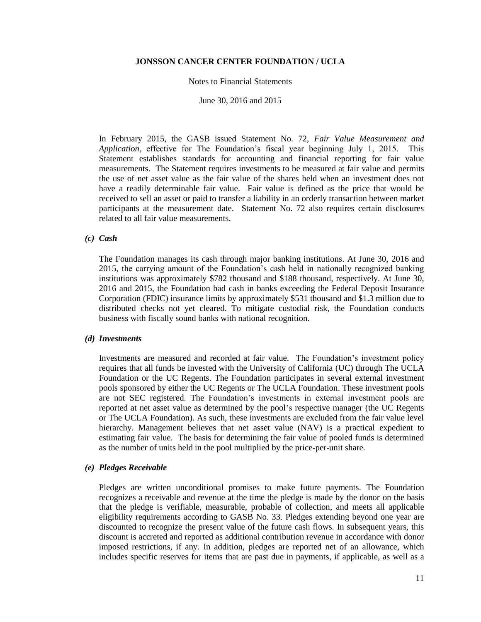#### Notes to Financial Statements

June 30, 2016 and 2015

In February 2015, the GASB issued Statement No. 72, *Fair Value Measurement and Application*, effective for The Foundation's fiscal year beginning July 1, 2015. This Statement establishes standards for accounting and financial reporting for fair value measurements. The Statement requires investments to be measured at fair value and permits the use of net asset value as the fair value of the shares held when an investment does not have a readily determinable fair value. Fair value is defined as the price that would be received to sell an asset or paid to transfer a liability in an orderly transaction between market participants at the measurement date. Statement No. 72 also requires certain disclosures related to all fair value measurements.

#### *(c) Cash*

The Foundation manages its cash through major banking institutions. At June 30, 2016 and 2015, the carrying amount of the Foundation's cash held in nationally recognized banking institutions was approximately \$782 thousand and \$188 thousand, respectively. At June 30, 2016 and 2015, the Foundation had cash in banks exceeding the Federal Deposit Insurance Corporation (FDIC) insurance limits by approximately \$531 thousand and \$1.3 million due to distributed checks not yet cleared. To mitigate custodial risk, the Foundation conducts business with fiscally sound banks with national recognition.

#### *(d) Investments*

Investments are measured and recorded at fair value. The Foundation's investment policy requires that all funds be invested with the University of California (UC) through The UCLA Foundation or the UC Regents. The Foundation participates in several external investment pools sponsored by either the UC Regents or The UCLA Foundation. These investment pools are not SEC registered. The Foundation's investments in external investment pools are reported at net asset value as determined by the pool's respective manager (the UC Regents or The UCLA Foundation). As such, these investments are excluded from the fair value level hierarchy. Management believes that net asset value (NAV) is a practical expedient to estimating fair value. The basis for determining the fair value of pooled funds is determined as the number of units held in the pool multiplied by the price-per-unit share.

#### *(e) Pledges Receivable*

Pledges are written unconditional promises to make future payments. The Foundation recognizes a receivable and revenue at the time the pledge is made by the donor on the basis that the pledge is verifiable, measurable, probable of collection, and meets all applicable eligibility requirements according to GASB No. 33. Pledges extending beyond one year are discounted to recognize the present value of the future cash flows. In subsequent years, this discount is accreted and reported as additional contribution revenue in accordance with donor imposed restrictions, if any. In addition, pledges are reported net of an allowance, which includes specific reserves for items that are past due in payments, if applicable, as well as a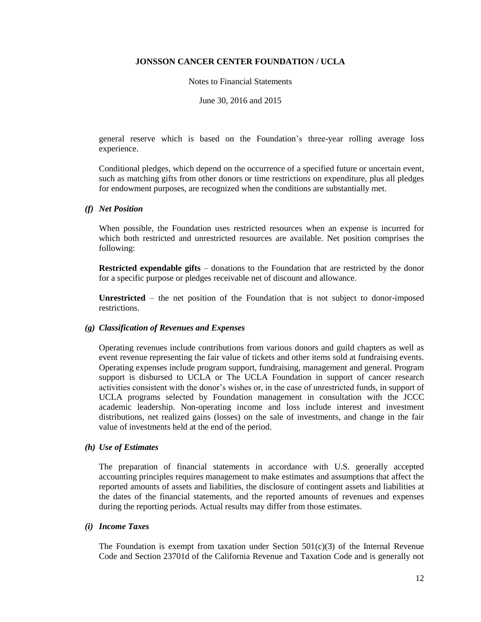### Notes to Financial Statements

June 30, 2016 and 2015

general reserve which is based on the Foundation's three-year rolling average loss experience.

Conditional pledges, which depend on the occurrence of a specified future or uncertain event, such as matching gifts from other donors or time restrictions on expenditure, plus all pledges for endowment purposes, are recognized when the conditions are substantially met.

## *(f) Net Position*

When possible, the Foundation uses restricted resources when an expense is incurred for which both restricted and unrestricted resources are available. Net position comprises the following:

**Restricted expendable gifts** *–* donations to the Foundation that are restricted by the donor for a specific purpose or pledges receivable net of discount and allowance.

**Unrestricted** *–* the net position of the Foundation that is not subject to donor-imposed restrictions.

# *(g) Classification of Revenues and Expenses*

Operating revenues include contributions from various donors and guild chapters as well as event revenue representing the fair value of tickets and other items sold at fundraising events. Operating expenses include program support, fundraising, management and general. Program support is disbursed to UCLA or The UCLA Foundation in support of cancer research activities consistent with the donor's wishes or, in the case of unrestricted funds, in support of UCLA programs selected by Foundation management in consultation with the JCCC academic leadership. Non-operating income and loss include interest and investment distributions, net realized gains (losses) on the sale of investments, and change in the fair value of investments held at the end of the period.

### *(h) Use of Estimates*

The preparation of financial statements in accordance with U.S. generally accepted accounting principles requires management to make estimates and assumptions that affect the reported amounts of assets and liabilities, the disclosure of contingent assets and liabilities at the dates of the financial statements, and the reported amounts of revenues and expenses during the reporting periods. Actual results may differ from those estimates.

## *(i) Income Taxes*

The Foundation is exempt from taxation under Section  $501(c)(3)$  of the Internal Revenue Code and Section 23701d of the California Revenue and Taxation Code and is generally not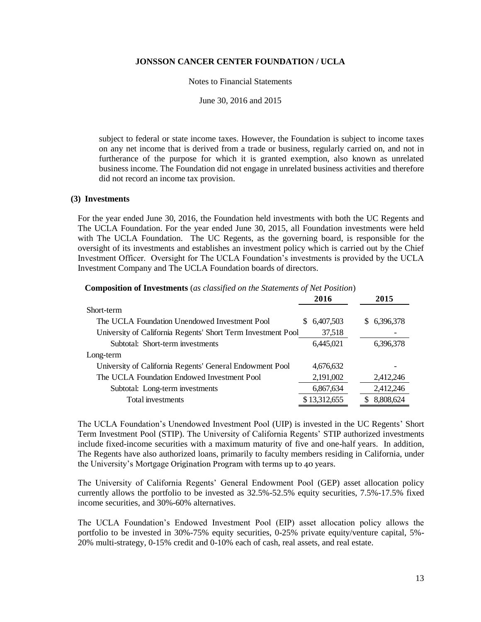## Notes to Financial Statements

June 30, 2016 and 2015

subject to federal or state income taxes. However, the Foundation is subject to income taxes on any net income that is derived from a trade or business, regularly carried on, and not in furtherance of the purpose for which it is granted exemption, also known as unrelated business income. The Foundation did not engage in unrelated business activities and therefore did not record an income tax provision.

## **(3) Investments**

For the year ended June 30, 2016, the Foundation held investments with both the UC Regents and The UCLA Foundation. For the year ended June 30, 2015, all Foundation investments were held with The UCLA Foundation. The UC Regents, as the governing board, is responsible for the oversight of its investments and establishes an investment policy which is carried out by the Chief Investment Officer. Oversight for The UCLA Foundation's investments is provided by the UCLA Investment Company and The UCLA Foundation boards of directors.

|                                                              | 2016            | 2015             |
|--------------------------------------------------------------|-----------------|------------------|
| Short-term                                                   |                 |                  |
| The UCLA Foundation Unendowed Investment Pool                | 6,407,503<br>S. | 6,396,378<br>SS. |
| University of California Regents' Short Term Investment Pool | 37,518          |                  |
| Subtotal: Short-term investments                             | 6,445,021       | 6,396,378        |
| Long-term                                                    |                 |                  |
| University of California Regents' General Endowment Pool     | 4,676,632       |                  |
| The UCLA Foundation Endowed Investment Pool                  | 2,191,002       | 2,412,246        |
| Subtotal: Long-term investments                              | 6,867,634       | 2,412,246        |
| Total investments                                            | \$13,312,655    | 8,808,624        |

**Composition of Investments** (*as classified on the Statements of Net Position*)

The UCLA Foundation's Unendowed Investment Pool (UIP) is invested in the UC Regents' Short Term Investment Pool (STIP). The University of California Regents' STIP authorized investments include fixed-income securities with a maximum maturity of five and one-half years. In addition, The Regents have also authorized loans, primarily to faculty members residing in California, under the University's Mortgage Origination Program with terms up to 40 years.

The University of California Regents' General Endowment Pool (GEP) asset allocation policy currently allows the portfolio to be invested as 32.5%-52.5% equity securities, 7.5%-17.5% fixed income securities, and 30%-60% alternatives.

The UCLA Foundation's Endowed Investment Pool (EIP) asset allocation policy allows the portfolio to be invested in 30%-75% equity securities, 0-25% private equity/venture capital, 5%- 20% multi-strategy, 0-15% credit and 0-10% each of cash, real assets, and real estate.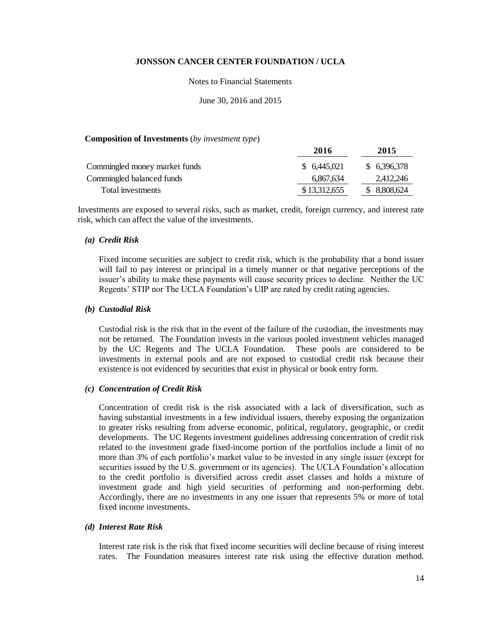#### Notes to Financial Statements

June 30, 2016 and 2015

### **Composition of Investments** (*by investment type*)

|                               | 2016         | 2015         |
|-------------------------------|--------------|--------------|
| Commingled money market funds | \$ 6,445,021 | \$ 6,396,378 |
| Commingled balanced funds     | 6,867,634    | 2,412,246    |
| Total investments             | \$13,312,655 | \$ 8,808,624 |

Investments are exposed to several risks, such as market, credit, foreign currency, and interest rate risk, which can affect the value of the investments.

#### *(a) Credit Risk*

Fixed income securities are subject to credit risk, which is the probability that a bond issuer will fail to pay interest or principal in a timely manner or that negative perceptions of the issuer's ability to make these payments will cause security prices to decline. Neither the UC Regents' STIP nor The UCLA Foundation's UIP are rated by credit rating agencies.

## *(b) Custodial Risk*

Custodial risk is the risk that in the event of the failure of the custodian, the investments may not be returned. The Foundation invests in the various pooled investment vehicles managed by the UC Regents and The UCLA Foundation. These pools are considered to be investments in external pools and are not exposed to custodial credit risk because their existence is not evidenced by securities that exist in physical or book entry form.

## *(c) Concentration of Credit Risk*

Concentration of credit risk is the risk associated with a lack of diversification, such as having substantial investments in a few individual issuers, thereby exposing the organization to greater risks resulting from adverse economic, political, regulatory, geographic, or credit developments. The UC Regents investment guidelines addressing concentration of credit risk related to the investment grade fixed-income portion of the portfolios include a limit of no more than 3% of each portfolio's market value to be invested in any single issuer (except for securities issued by the U.S. government or its agencies). The UCLA Foundation's allocation to the credit portfolio is diversified across credit asset classes and holds a mixture of investment grade and high yield securities of performing and non-performing debt. Accordingly, there are no investments in any one issuer that represents 5% or more of total fixed income investments.

## *(d) Interest Rate Risk*

Interest rate risk is the risk that fixed income securities will decline because of rising interest rates. The Foundation measures interest rate risk using the effective duration method.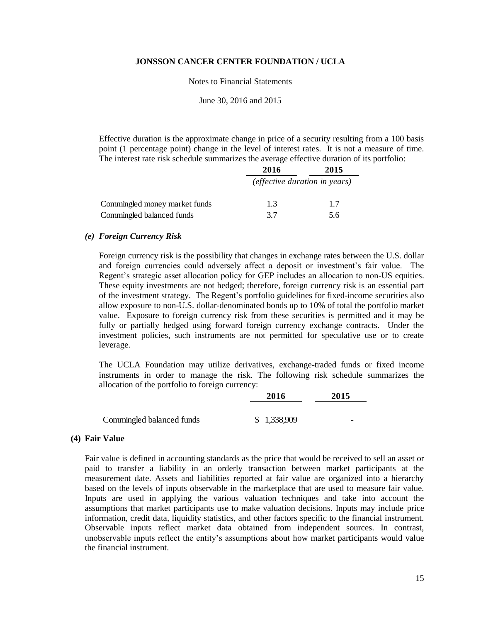#### Notes to Financial Statements

June 30, 2016 and 2015

Effective duration is the approximate change in price of a security resulting from a 100 basis point (1 percentage point) change in the level of interest rates. It is not a measure of time. The interest rate risk schedule summarizes the average effective duration of its portfolio:

|                               | 2016                                 | 2015 |
|-------------------------------|--------------------------------------|------|
|                               | <i>(effective duration in years)</i> |      |
| Commingled money market funds | 1.3                                  | 1.7  |
| Commingled balanced funds     | 37                                   | 5.6  |

#### *(e) Foreign Currency Risk*

Foreign currency risk is the possibility that changes in exchange rates between the U.S. dollar and foreign currencies could adversely affect a deposit or investment's fair value. The Regent's strategic asset allocation policy for GEP includes an allocation to non-US equities. These equity investments are not hedged; therefore, foreign currency risk is an essential part of the investment strategy. The Regent's portfolio guidelines for fixed-income securities also allow exposure to non-U.S. dollar-denominated bonds up to 10% of total the portfolio market value. Exposure to foreign currency risk from these securities is permitted and it may be fully or partially hedged using forward foreign currency exchange contracts. Under the investment policies, such instruments are not permitted for speculative use or to create leverage.

The UCLA Foundation may utilize derivatives, exchange-traded funds or fixed income instruments in order to manage the risk. The following risk schedule summarizes the allocation of the portfolio to foreign currency:

|                           | 2016        | 2015 |
|---------------------------|-------------|------|
|                           |             |      |
| Commingled balanced funds | \$1,338,909 | -    |

#### **(4) Fair Value**

Fair value is defined in accounting standards as the price that would be received to sell an asset or paid to transfer a liability in an orderly transaction between market participants at the measurement date. Assets and liabilities reported at fair value are organized into a hierarchy based on the levels of inputs observable in the marketplace that are used to measure fair value. Inputs are used in applying the various valuation techniques and take into account the assumptions that market participants use to make valuation decisions. Inputs may include price information, credit data, liquidity statistics, and other factors specific to the financial instrument. Observable inputs reflect market data obtained from independent sources. In contrast, unobservable inputs reflect the entity's assumptions about how market participants would value the financial instrument.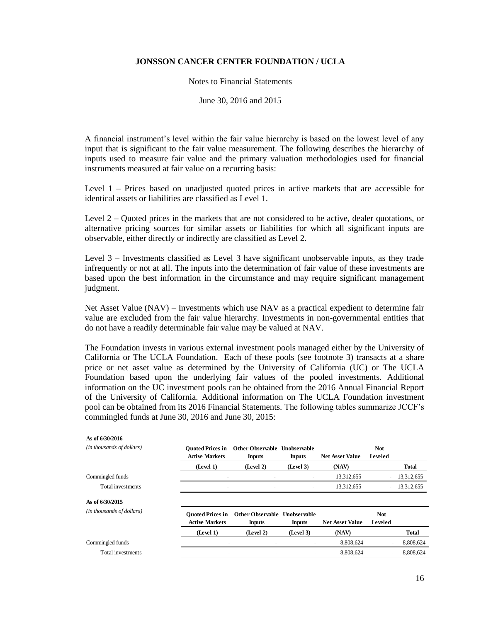#### Notes to Financial Statements

#### June 30, 2016 and 2015

A financial instrument's level within the fair value hierarchy is based on the lowest level of any input that is significant to the fair value measurement. The following describes the hierarchy of inputs used to measure fair value and the primary valuation methodologies used for financial instruments measured at fair value on a recurring basis:

Level 1 – Prices based on unadjusted quoted prices in active markets that are accessible for identical assets or liabilities are classified as Level 1.

Level 2 – Quoted prices in the markets that are not considered to be active, dealer quotations, or alternative pricing sources for similar assets or liabilities for which all significant inputs are observable, either directly or indirectly are classified as Level 2.

Level 3 – Investments classified as Level 3 have significant unobservable inputs, as they trade infrequently or not at all. The inputs into the determination of fair value of these investments are based upon the best information in the circumstance and may require significant management judgment.

Net Asset Value (NAV) – Investments which use NAV as a practical expedient to determine fair value are excluded from the fair value hierarchy. Investments in non-governmental entities that do not have a readily determinable fair value may be valued at NAV.

The Foundation invests in various external investment pools managed either by the University of California or The UCLA Foundation. Each of these pools (see footnote 3) transacts at a share price or net asset value as determined by the University of California (UC) or The UCLA Foundation based upon the underlying fair values of the pooled investments. Additional information on the UC investment pools can be obtained from the 2016 Annual Financial Report of the University of California. Additional information on The UCLA Foundation investment pool can be obtained from its 2016 Financial Statements. The following tables summarize JCCF's commingled funds at June 30, 2016 and June 30, 2015:

| As of 6/30/2016           |                                                  |                                          |                               |                        |                          |              |  |
|---------------------------|--------------------------------------------------|------------------------------------------|-------------------------------|------------------------|--------------------------|--------------|--|
| (in thousands of dollars) | <b>Ouoted Prices in</b><br><b>Active Markets</b> | <b>Other Observable</b><br><b>Inputs</b> | Unobservable<br><b>Inputs</b> | <b>Net Asset Value</b> | <b>Not</b><br>Leveled    |              |  |
|                           | (Level 1)                                        | (Level 2)                                | (Level 3)                     | (NAV)                  |                          | <b>Total</b> |  |
| Commingled funds          |                                                  |                                          |                               | 13,312,655             | $\overline{\phantom{a}}$ | 13,312,655   |  |
| Total investments         | ۰                                                | $\overline{\phantom{a}}$                 |                               | 13,312,655             | $\overline{\phantom{a}}$ | 13,312,655   |  |
| As of 6/30/2015           |                                                  |                                          |                               |                        |                          |              |  |
| (in thousands of dollars) | <b>Ouoted Prices in</b><br><b>Active Markets</b> | <b>Other Observable</b><br><b>Inputs</b> | Unobservable<br><b>Inputs</b> | <b>Net Asset Value</b> | <b>Not</b><br>Leveled    |              |  |
|                           | (Level 1)                                        | (Level 2)                                | (Level 3)                     | (NAV)                  |                          | <b>Total</b> |  |
| Commingled funds          | -                                                |                                          |                               | 8,808,624              |                          | 8,808,624    |  |
| Total investments         | $\overline{a}$                                   |                                          |                               | 8.808.624              |                          | 8,808,624    |  |
|                           |                                                  |                                          |                               |                        |                          |              |  |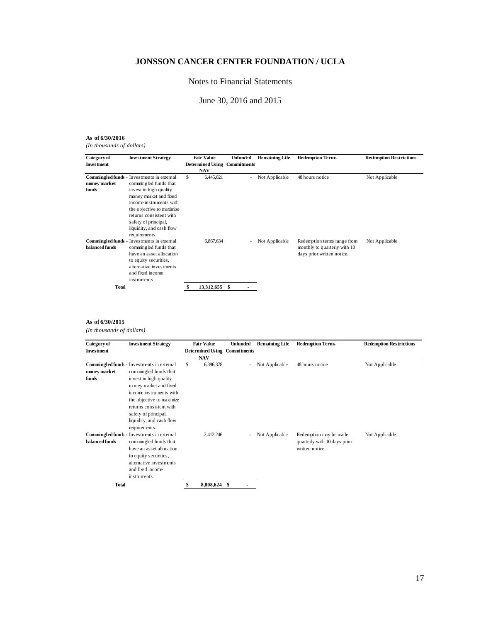# Notes to Financial Statements

# June 30, 2016 and 2015

#### **As of 6/30/2016**

*(In thousands of dollars)*

| Category of<br><b>Investment</b> | <b>Investment Strategy</b>                                                                                                                                                                                                                                                      | <b>Fair Value</b><br><b>NAV</b> | <b>Unfunded</b><br><b>Determined Using Commitments</b> | <b>Remaining Life</b> | <b>Redemption Terms</b>                                                                   | <b>Redemption Restrictions</b> |
|----------------------------------|---------------------------------------------------------------------------------------------------------------------------------------------------------------------------------------------------------------------------------------------------------------------------------|---------------------------------|--------------------------------------------------------|-----------------------|-------------------------------------------------------------------------------------------|--------------------------------|
| money market<br>funds            | Commingled funds - Investments in external<br>commingled funds that<br>invest in high quality<br>money market and fixed<br>income instruments with<br>the objective to maximize<br>returns consistent with<br>safety of principal,<br>liquidity, and cash flow<br>requirements. | \$<br>6,445,021                 | $\overline{a}$                                         | Not Applicable        | 48 hours notice                                                                           | Not Applicable                 |
| balanced funds                   | Commingled funds - Investments in external<br>commingled funds that<br>have an asset allocation<br>to equity securities,<br>alternative investments<br>and fixed income<br>instruments                                                                                          | 6,867,634                       |                                                        | Not Applicable        | Redemption terms range from<br>monthly to quarterly with 10<br>days prior written notice. | Not Applicable                 |
| <b>Total</b>                     |                                                                                                                                                                                                                                                                                 | 13,312,655                      | -\$                                                    |                       |                                                                                           |                                |

#### **As of 6/30/2015**

*(In thousands of dollars)*

| Category of<br><b>Investment</b> | <b>Investment Strategy</b>                                                                                                                                                                                                                                                      | <b>Fair Value</b><br><b>NAV</b> | <b>Unfunded</b><br><b>Determined Using Commitments</b> | <b>Remaining Life</b> | <b>Redemption Terms</b>                                                   | <b>Redemption Restrictions</b> |
|----------------------------------|---------------------------------------------------------------------------------------------------------------------------------------------------------------------------------------------------------------------------------------------------------------------------------|---------------------------------|--------------------------------------------------------|-----------------------|---------------------------------------------------------------------------|--------------------------------|
| money market<br>funds            | Commingled funds - Investments in external<br>commingled funds that<br>invest in high quality<br>money market and fixed<br>income instruments with<br>the objective to maximize<br>returns consistent with<br>safety of principal,<br>liquidity, and cash flow<br>requirements. | \$<br>6,396,378                 | ٠                                                      | Not Applicable        | 48 hours notice                                                           | Not Applicable                 |
| balanced funds                   | Commingled funds - Investments in external<br>commingled funds that<br>have an asset allocation<br>to equity securities,<br>alternative investments<br>and fixed income<br>instruments                                                                                          | 2,412,246                       |                                                        | Not Applicable        | Redemption may be made<br>quarterly with 10 days prior<br>written notice. | Not Applicable                 |
| <b>Total</b>                     |                                                                                                                                                                                                                                                                                 | 8,808,624                       | - \$                                                   |                       |                                                                           |                                |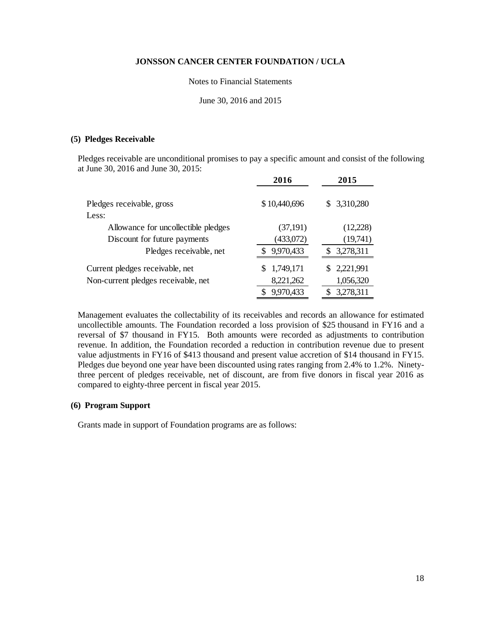#### Notes to Financial Statements

June 30, 2016 and 2015

## **(5) Pledges Receivable**

Pledges receivable are unconditional promises to pay a specific amount and consist of the following at June 30, 2016 and June 30, 2015:

|                                     | 2016         | 2015        |
|-------------------------------------|--------------|-------------|
| Pledges receivable, gross           | \$10,440,696 | \$3,310,280 |
| Less:                               |              |             |
| Allowance for uncollectible pledges | (37, 191)    | (12,228)    |
| Discount for future payments        | (433,072)    | (19,741)    |
| Pledges receivable, net             | 9,970,433    | 3,278,311   |
| Current pledges receivable, net     | 1,749,171    | \$2,221,991 |
| Non-current pledges receivable, net | 8,221,262    | 1,056,320   |
|                                     | 9,970,433    | 3,278,311   |

Management evaluates the collectability of its receivables and records an allowance for estimated uncollectible amounts. The Foundation recorded a loss provision of \$25 thousand in FY16 and a reversal of \$7 thousand in FY15. Both amounts were recorded as adjustments to contribution revenue. In addition, the Foundation recorded a reduction in contribution revenue due to present value adjustments in FY16 of \$413 thousand and present value accretion of \$14 thousand in FY15. Pledges due beyond one year have been discounted using rates ranging from 2.4% to 1.2%. Ninetythree percent of pledges receivable, net of discount, are from five donors in fiscal year 2016 as compared to eighty-three percent in fiscal year 2015.

## **(6) Program Support**

Grants made in support of Foundation programs are as follows: